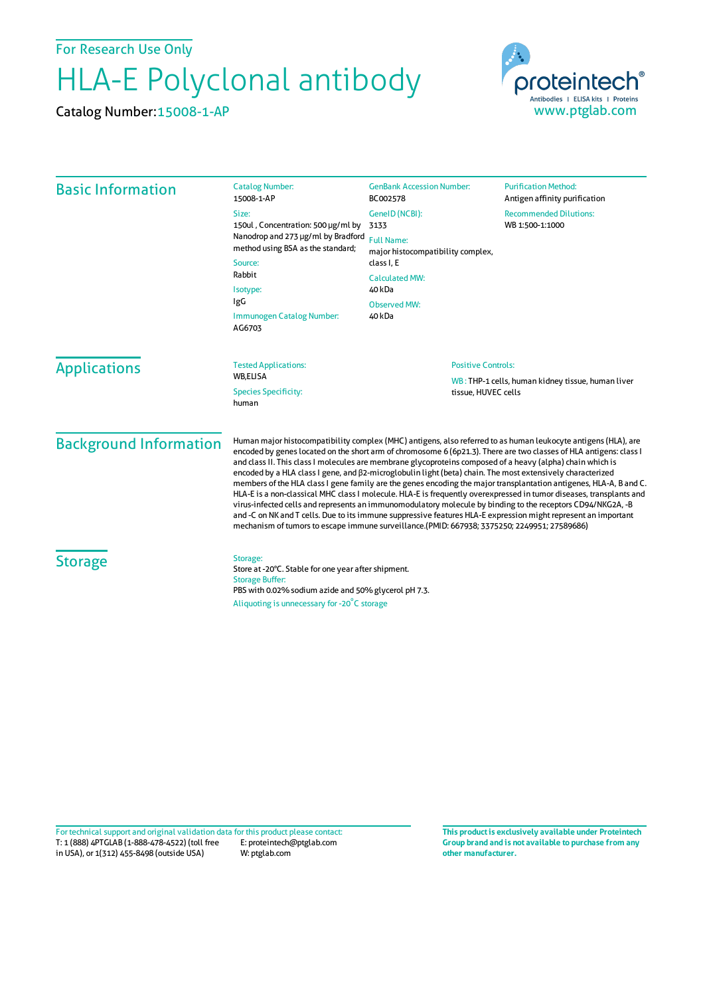For Research Use Only

## HLA-E Polyclonal antibody

Catalog Number:15008-1-AP



| <b>Basic Information</b>      | <b>Catalog Number:</b><br>15008-1-AP                                                                                                                                                                                                                                                                                                                                                                                                                                                                                                                                                                                                                                                                                                                                                                                                                                                                                                                                                                                                                  | <b>GenBank Accession Number:</b><br>BC002578                                                                                                                       | <b>Purification Method:</b><br>Antigen affinity purification |  |
|-------------------------------|-------------------------------------------------------------------------------------------------------------------------------------------------------------------------------------------------------------------------------------------------------------------------------------------------------------------------------------------------------------------------------------------------------------------------------------------------------------------------------------------------------------------------------------------------------------------------------------------------------------------------------------------------------------------------------------------------------------------------------------------------------------------------------------------------------------------------------------------------------------------------------------------------------------------------------------------------------------------------------------------------------------------------------------------------------|--------------------------------------------------------------------------------------------------------------------------------------------------------------------|--------------------------------------------------------------|--|
|                               | Size:<br>150ul, Concentration: 500 µg/ml by<br>Nanodrop and 273 µg/ml by Bradford<br>method using BSA as the standard;<br>Source:<br>Rabbit<br>Isotype:<br><b>IgG</b><br>Immunogen Catalog Number:<br>AG6703                                                                                                                                                                                                                                                                                                                                                                                                                                                                                                                                                                                                                                                                                                                                                                                                                                          | GeneID (NCBI):<br>3133<br><b>Full Name:</b><br>major histocompatibility complex,<br>class I, E<br><b>Calculated MW:</b><br>40 kDa<br><b>Observed MW:</b><br>40 kDa | <b>Recommended Dilutions:</b><br>WB 1:500-1:1000             |  |
| <b>Applications</b>           | <b>Tested Applications:</b><br>WB,ELISA<br><b>Species Specificity:</b><br>human                                                                                                                                                                                                                                                                                                                                                                                                                                                                                                                                                                                                                                                                                                                                                                                                                                                                                                                                                                       | <b>Positive Controls:</b><br>tissue, HUVEC cells                                                                                                                   | WB: THP-1 cells, human kidney tissue, human liver            |  |
| <b>Background Information</b> | Human major histocompatibility complex (MHC) antigens, also referred to as human leukocyte antigens (HLA), are<br>encoded by genes located on the short arm of chromosome 6 (6p21.3). There are two classes of HLA antigens: class I<br>and class II. This class I molecules are membrane glycoproteins composed of a heavy (alpha) chain which is<br>encoded by a HLA class I gene, and $\beta$ 2-microglobulin light (beta) chain. The most extensively characterized<br>members of the HLA class I gene family are the genes encoding the major transplantation antigenes, HLA-A, B and C.<br>HLA-E is a non-classical MHC class I molecule. HLA-E is frequently overexpressed in tumor diseases, transplants and<br>virus-infected cells and represents an immunomodulatory molecule by binding to the receptors CD94/NKG2A, -B<br>and -C on NK and T cells. Due to its immune suppressive features HLA-E expression might represent an important<br>mechanism of tumors to escape immune surveillance.(PMID: 667938; 3375250; 2249951; 27589686) |                                                                                                                                                                    |                                                              |  |
| <b>Storage</b>                | Storage:<br>Store at -20°C. Stable for one year after shipment.<br><b>Storage Buffer:</b><br>PBS with 0.02% sodium azide and 50% glycerol pH 7.3.<br>Aliquoting is unnecessary for -20°C storage                                                                                                                                                                                                                                                                                                                                                                                                                                                                                                                                                                                                                                                                                                                                                                                                                                                      |                                                                                                                                                                    |                                                              |  |

T: 1 (888) 4PTGLAB (1-888-478-4522) (toll free in USA), or 1(312) 455-8498 (outside USA) E: proteintech@ptglab.com W: ptglab.com Fortechnical support and original validation data forthis product please contact: **This productis exclusively available under Proteintech**

**Group brand and is not available to purchase from any other manufacturer.**